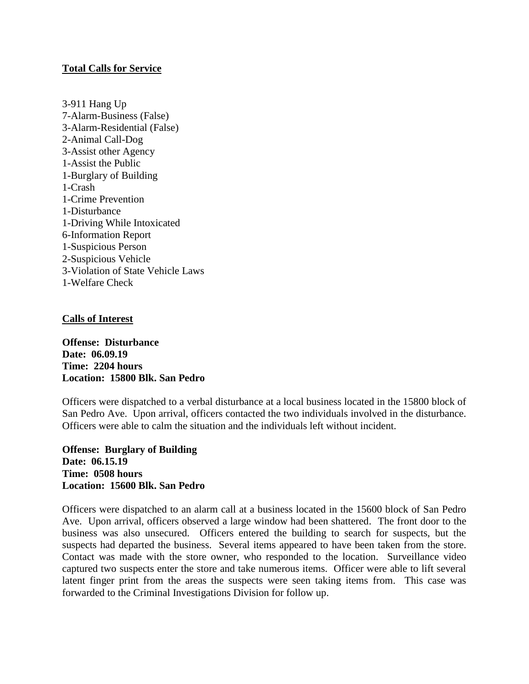# **Total Calls for Service**

3-911 Hang Up 7-Alarm-Business (False) 3-Alarm-Residential (False) 2-Animal Call-Dog 3-Assist other Agency 1-Assist the Public 1-Burglary of Building 1-Crash 1-Crime Prevention 1-Disturbance 1-Driving While Intoxicated 6-Information Report 1-Suspicious Person 2-Suspicious Vehicle 3-Violation of State Vehicle Laws 1-Welfare Check

# **Calls of Interest**

**Offense: Disturbance Date: 06.09.19 Time: 2204 hours Location: 15800 Blk. San Pedro**

Officers were dispatched to a verbal disturbance at a local business located in the 15800 block of San Pedro Ave. Upon arrival, officers contacted the two individuals involved in the disturbance. Officers were able to calm the situation and the individuals left without incident.

**Offense: Burglary of Building Date: 06.15.19 Time: 0508 hours Location: 15600 Blk. San Pedro**

Officers were dispatched to an alarm call at a business located in the 15600 block of San Pedro Ave. Upon arrival, officers observed a large window had been shattered. The front door to the business was also unsecured. Officers entered the building to search for suspects, but the suspects had departed the business. Several items appeared to have been taken from the store. Contact was made with the store owner, who responded to the location. Surveillance video captured two suspects enter the store and take numerous items. Officer were able to lift several latent finger print from the areas the suspects were seen taking items from. This case was forwarded to the Criminal Investigations Division for follow up.